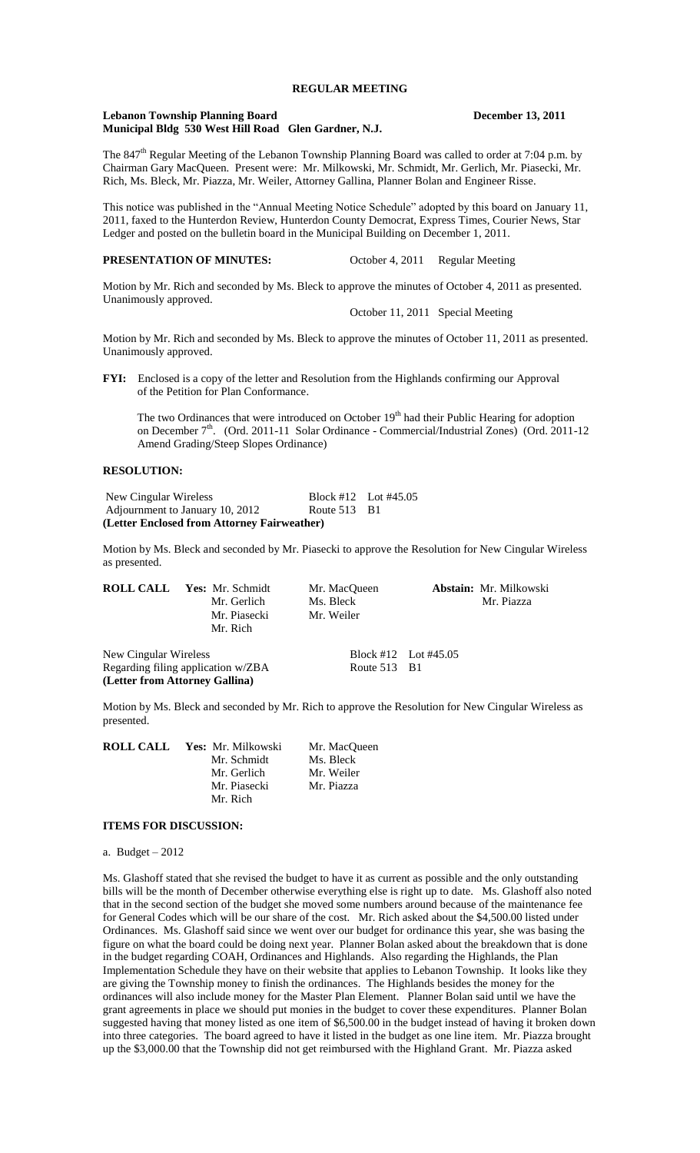# **REGULAR MEETING**

#### **Lebanon Township Planning Board December 13, 2011 Municipal Bldg 530 West Hill Road Glen Gardner, N.J.**

The 847<sup>th</sup> Regular Meeting of the Lebanon Township Planning Board was called to order at 7:04 p.m. by Chairman Gary MacQueen. Present were: Mr. Milkowski, Mr. Schmidt, Mr. Gerlich, Mr. Piasecki, Mr. Rich, Ms. Bleck, Mr. Piazza, Mr. Weiler, Attorney Gallina, Planner Bolan and Engineer Risse.

This notice was published in the "Annual Meeting Notice Schedule" adopted by this board on January 11, 2011, faxed to the Hunterdon Review, Hunterdon County Democrat, Express Times, Courier News, Star Ledger and posted on the bulletin board in the Municipal Building on December 1, 2011.

## **PRESENTATION OF MINUTES:** October 4, 2011 Regular Meeting

Motion by Mr. Rich and seconded by Ms. Bleck to approve the minutes of October 4, 2011 as presented. Unanimously approved.

October 11, 2011 Special Meeting

Motion by Mr. Rich and seconded by Ms. Bleck to approve the minutes of October 11, 2011 as presented. Unanimously approved.

**FYI:** Enclosed is a copy of the letter and Resolution from the Highlands confirming our Approval of the Petition for Plan Conformance.

The two Ordinances that were introduced on October  $19<sup>th</sup>$  had their Public Hearing for adoption on December 7<sup>th</sup>. (Ord. 2011-11 Solar Ordinance - Commercial/Industrial Zones) (Ord. 2011-12 Amend Grading/Steep Slopes Ordinance)

# **RESOLUTION:**

New Cingular Wireless Block #12 Lot #45.05 Adjournment to January 10, 2012 Route 513 B1 **(Letter Enclosed from Attorney Fairweather)**

Motion by Ms. Bleck and seconded by Mr. Piasecki to approve the Resolution for New Cingular Wireless as presented.

**ROLL CALL Yes:** Mr. Schmidt Mr. MacQueen **Abstain:** Mr. Milkowski Mr. Gerlich Ms. Bleck Mr. Piazza Mr. Gerlich Ms. Bleck Mr. Piazza Mr. Piasecki Mr. Weiler Mr. Rich New Cingular Wireless Block #12 Lot #45.05

Regarding filing application w/ZBA Route 513 B1 **(Letter from Attorney Gallina)**

Motion by Ms. Bleck and seconded by Mr. Rich to approve the Resolution for New Cingular Wireless as presented.

| <b>ROLL CALL</b> Yes: Mr. Milkowski | Mr. MacOueen |
|-------------------------------------|--------------|
| Mr. Schmidt                         | Ms. Bleck    |
| Mr. Gerlich                         | Mr. Weiler   |
| Mr. Piasecki                        | Mr. Piazza   |
| Mr. Rich                            |              |

#### **ITEMS FOR DISCUSSION:**

a. Budget – 2012

Ms. Glashoff stated that she revised the budget to have it as current as possible and the only outstanding bills will be the month of December otherwise everything else is right up to date. Ms. Glashoff also noted that in the second section of the budget she moved some numbers around because of the maintenance fee for General Codes which will be our share of the cost. Mr. Rich asked about the \$4,500.00 listed under Ordinances. Ms. Glashoff said since we went over our budget for ordinance this year, she was basing the figure on what the board could be doing next year. Planner Bolan asked about the breakdown that is done in the budget regarding COAH, Ordinances and Highlands. Also regarding the Highlands, the Plan Implementation Schedule they have on their website that applies to Lebanon Township. It looks like they are giving the Township money to finish the ordinances. The Highlands besides the money for the ordinances will also include money for the Master Plan Element. Planner Bolan said until we have the grant agreements in place we should put monies in the budget to cover these expenditures. Planner Bolan suggested having that money listed as one item of \$6,500.00 in the budget instead of having it broken down into three categories. The board agreed to have it listed in the budget as one line item. Mr. Piazza brought up the \$3,000.00 that the Township did not get reimbursed with the Highland Grant. Mr. Piazza asked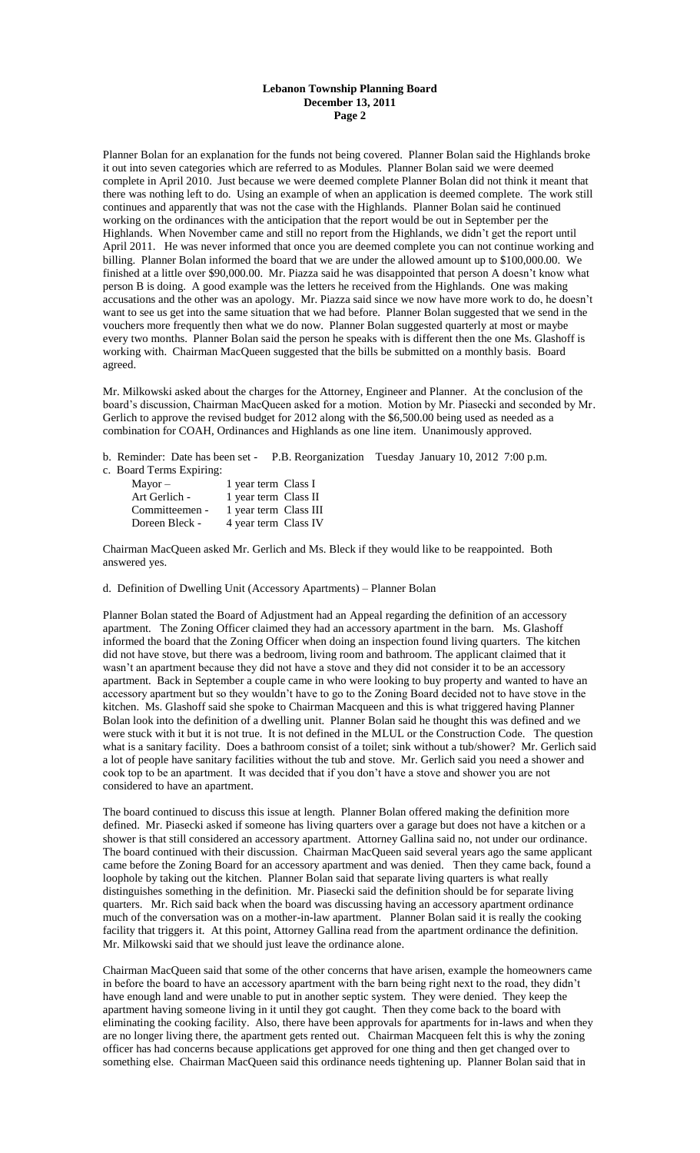### **Lebanon Township Planning Board December 13, 2011 Page 2**

Planner Bolan for an explanation for the funds not being covered. Planner Bolan said the Highlands broke it out into seven categories which are referred to as Modules. Planner Bolan said we were deemed complete in April 2010. Just because we were deemed complete Planner Bolan did not think it meant that there was nothing left to do. Using an example of when an application is deemed complete. The work still continues and apparently that was not the case with the Highlands. Planner Bolan said he continued working on the ordinances with the anticipation that the report would be out in September per the Highlands. When November came and still no report from the Highlands, we didn't get the report until April 2011. He was never informed that once you are deemed complete you can not continue working and billing. Planner Bolan informed the board that we are under the allowed amount up to \$100,000.00. We finished at a little over \$90,000.00. Mr. Piazza said he was disappointed that person A doesn't know what person B is doing. A good example was the letters he received from the Highlands. One was making accusations and the other was an apology. Mr. Piazza said since we now have more work to do, he doesn't want to see us get into the same situation that we had before. Planner Bolan suggested that we send in the vouchers more frequently then what we do now. Planner Bolan suggested quarterly at most or maybe every two months. Planner Bolan said the person he speaks with is different then the one Ms. Glashoff is working with. Chairman MacQueen suggested that the bills be submitted on a monthly basis. Board agreed.

Mr. Milkowski asked about the charges for the Attorney, Engineer and Planner. At the conclusion of the board's discussion, Chairman MacQueen asked for a motion. Motion by Mr. Piasecki and seconded by Mr. Gerlich to approve the revised budget for 2012 along with the \$6,500.00 being used as needed as a combination for COAH, Ordinances and Highlands as one line item. Unanimously approved.

b. Reminder: Date has been set - P.B. Reorganization Tuesday January 10, 2012 7:00 p.m.

c. Board Terms Expiring:

| 1 year term Class I   |
|-----------------------|
| 1 year term Class II  |
| 1 year term Class III |
| 4 year term Class IV  |
|                       |

Chairman MacQueen asked Mr. Gerlich and Ms. Bleck if they would like to be reappointed. Both answered yes.

d. Definition of Dwelling Unit (Accessory Apartments) – Planner Bolan

Planner Bolan stated the Board of Adjustment had an Appeal regarding the definition of an accessory apartment. The Zoning Officer claimed they had an accessory apartment in the barn. Ms. Glashoff informed the board that the Zoning Officer when doing an inspection found living quarters. The kitchen did not have stove, but there was a bedroom, living room and bathroom. The applicant claimed that it wasn't an apartment because they did not have a stove and they did not consider it to be an accessory apartment. Back in September a couple came in who were looking to buy property and wanted to have an accessory apartment but so they wouldn't have to go to the Zoning Board decided not to have stove in the kitchen. Ms. Glashoff said she spoke to Chairman Macqueen and this is what triggered having Planner Bolan look into the definition of a dwelling unit. Planner Bolan said he thought this was defined and we were stuck with it but it is not true. It is not defined in the MLUL or the Construction Code. The question what is a sanitary facility. Does a bathroom consist of a toilet; sink without a tub/shower? Mr. Gerlich said a lot of people have sanitary facilities without the tub and stove. Mr. Gerlich said you need a shower and cook top to be an apartment. It was decided that if you don't have a stove and shower you are not considered to have an apartment.

The board continued to discuss this issue at length. Planner Bolan offered making the definition more defined. Mr. Piasecki asked if someone has living quarters over a garage but does not have a kitchen or a shower is that still considered an accessory apartment. Attorney Gallina said no, not under our ordinance. The board continued with their discussion. Chairman MacQueen said several years ago the same applicant came before the Zoning Board for an accessory apartment and was denied. Then they came back, found a loophole by taking out the kitchen. Planner Bolan said that separate living quarters is what really distinguishes something in the definition. Mr. Piasecki said the definition should be for separate living quarters. Mr. Rich said back when the board was discussing having an accessory apartment ordinance much of the conversation was on a mother-in-law apartment. Planner Bolan said it is really the cooking facility that triggers it. At this point, Attorney Gallina read from the apartment ordinance the definition. Mr. Milkowski said that we should just leave the ordinance alone.

Chairman MacQueen said that some of the other concerns that have arisen, example the homeowners came in before the board to have an accessory apartment with the barn being right next to the road, they didn't have enough land and were unable to put in another septic system. They were denied. They keep the apartment having someone living in it until they got caught. Then they come back to the board with eliminating the cooking facility. Also, there have been approvals for apartments for in-laws and when they are no longer living there, the apartment gets rented out. Chairman Macqueen felt this is why the zoning officer has had concerns because applications get approved for one thing and then get changed over to something else. Chairman MacQueen said this ordinance needs tightening up. Planner Bolan said that in